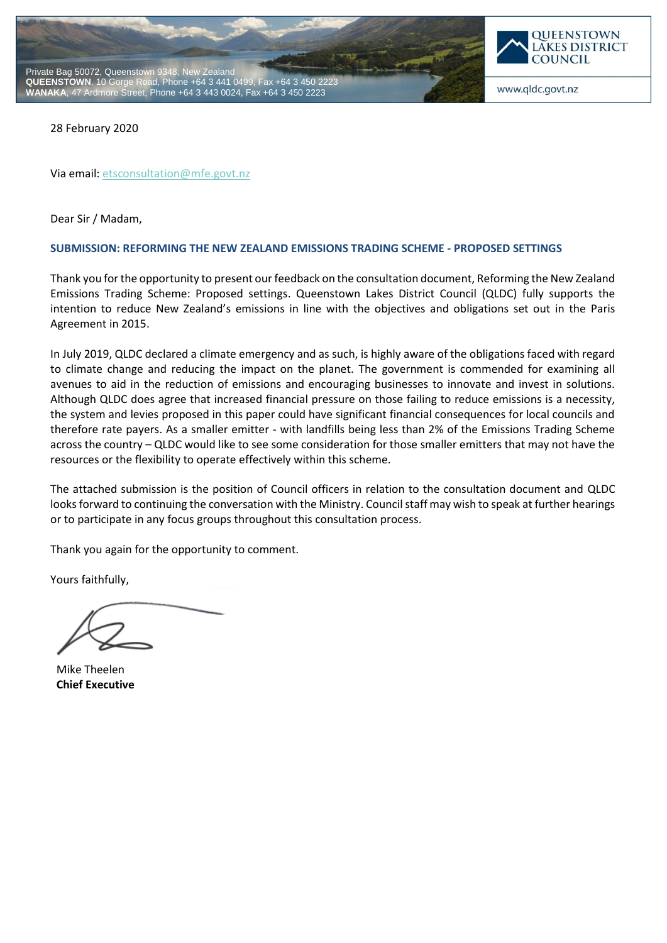



www.qldc.govt.nz

28 February 2020

Via email[: etsconsultation@mfe.govt.nz](mailto:etsconsultation@mfe.govt.nz)

Dear Sir / Madam,

#### **SUBMISSION: REFORMING THE NEW ZEALAND EMISSIONS TRADING SCHEME - PROPOSED SETTINGS**

Thank you for the opportunity to present our feedback on the consultation document, Reforming the New Zealand Emissions Trading Scheme: Proposed settings. Queenstown Lakes District Council (QLDC) fully supports the intention to reduce New Zealand's emissions in line with the objectives and obligations set out in the Paris Agreement in 2015.

In July 2019, QLDC declared a climate emergency and as such, is highly aware of the obligations faced with regard to climate change and reducing the impact on the planet. The government is commended for examining all avenues to aid in the reduction of emissions and encouraging businesses to innovate and invest in solutions. Although QLDC does agree that increased financial pressure on those failing to reduce emissions is a necessity, the system and levies proposed in this paper could have significant financial consequences for local councils and therefore rate payers. As a smaller emitter - with landfills being less than 2% of the Emissions Trading Scheme across the country – QLDC would like to see some consideration for those smaller emitters that may not have the resources or the flexibility to operate effectively within this scheme.

The attached submission is the position of Council officers in relation to the consultation document and QLDC looks forward to continuing the conversation with the Ministry. Council staff may wish to speak at further hearings or to participate in any focus groups throughout this consultation process.

Thank you again for the opportunity to comment.

Yours faithfully,

Mike Theelen **Chief Executive**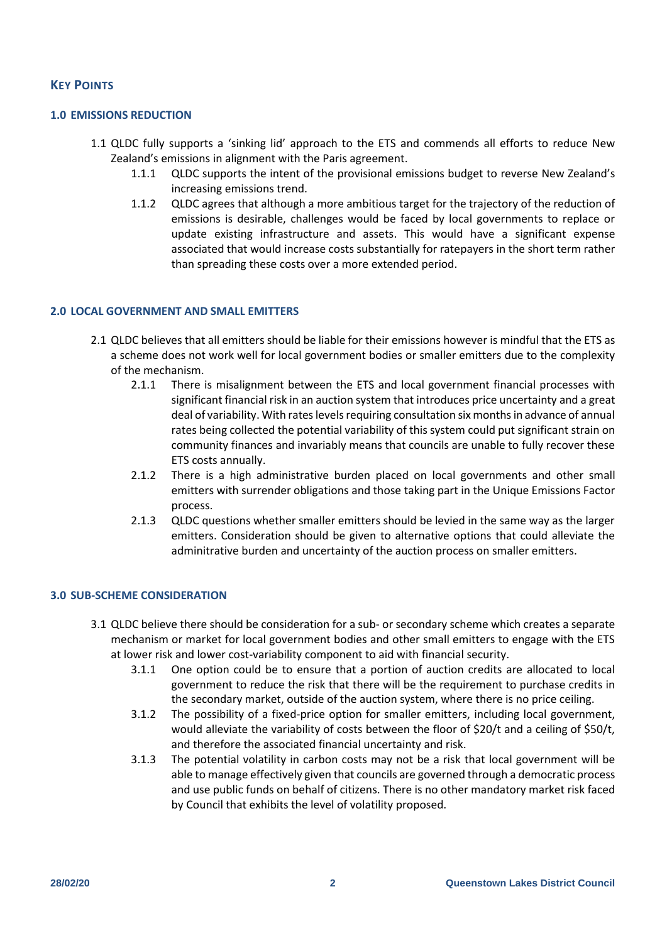# **KEY POINTS**

## **1.0 EMISSIONS REDUCTION**

- 1.1 QLDC fully supports a 'sinking lid' approach to the ETS and commends all efforts to reduce New Zealand's emissions in alignment with the Paris agreement.
	- 1.1.1 QLDC supports the intent of the provisional emissions budget to reverse New Zealand's increasing emissions trend.
	- 1.1.2 QLDC agrees that although a more ambitious target for the trajectory of the reduction of emissions is desirable, challenges would be faced by local governments to replace or update existing infrastructure and assets. This would have a significant expense associated that would increase costs substantially for ratepayers in the short term rather than spreading these costs over a more extended period.

## **2.0 LOCAL GOVERNMENT AND SMALL EMITTERS**

- 2.1 QLDC believes that all emitters should be liable for their emissions however is mindful that the ETS as a scheme does not work well for local government bodies or smaller emitters due to the complexity of the mechanism.
	- 2.1.1 There is misalignment between the ETS and local government financial processes with significant financial risk in an auction system that introduces price uncertainty and a great deal of variability. With rates levels requiring consultation six months in advance of annual rates being collected the potential variability of this system could put significant strain on community finances and invariably means that councils are unable to fully recover these ETS costs annually.
	- 2.1.2 There is a high administrative burden placed on local governments and other small emitters with surrender obligations and those taking part in the Unique Emissions Factor process.
	- 2.1.3 QLDC questions whether smaller emitters should be levied in the same way as the larger emitters. Consideration should be given to alternative options that could alleviate the adminitrative burden and uncertainty of the auction process on smaller emitters.

# **3.0 SUB-SCHEME CONSIDERATION**

- 3.1 QLDC believe there should be consideration for a sub- or secondary scheme which creates a separate mechanism or market for local government bodies and other small emitters to engage with the ETS at lower risk and lower cost-variability component to aid with financial security.
	- 3.1.1 One option could be to ensure that a portion of auction credits are allocated to local government to reduce the risk that there will be the requirement to purchase credits in the secondary market, outside of the auction system, where there is no price ceiling.
	- 3.1.2 The possibility of a fixed-price option for smaller emitters, including local government, would alleviate the variability of costs between the floor of \$20/t and a ceiling of \$50/t, and therefore the associated financial uncertainty and risk.
	- 3.1.3 The potential volatility in carbon costs may not be a risk that local government will be able to manage effectively given that councils are governed through a democratic process and use public funds on behalf of citizens. There is no other mandatory market risk faced by Council that exhibits the level of volatility proposed.